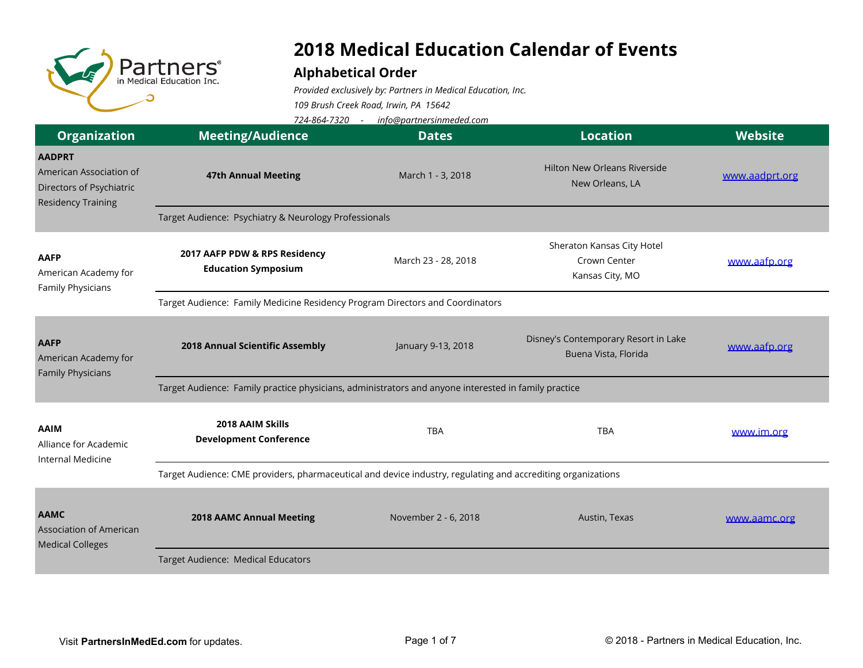

## **2018 Medical Education Calendar of Events**

## **Alphabetical Order**

*Provided exclusively by: Partners in Medical Education, Inc.*

*109 Brush Creek Road, Irwin, PA 15642*

*724-864-7320 - info@partnersinmeded.com*

| <b>Organization</b>                                                                               | <b>Meeting/Audience</b>                                                                                      | <b>Dates</b>         | <b>Location</b>                                               | <b>Website</b> |  |  |
|---------------------------------------------------------------------------------------------------|--------------------------------------------------------------------------------------------------------------|----------------------|---------------------------------------------------------------|----------------|--|--|
| <b>AADPRT</b><br>American Association of<br>Directors of Psychiatric<br><b>Residency Training</b> | <b>47th Annual Meeting</b>                                                                                   | March 1 - 3, 2018    | <b>Hilton New Orleans Riverside</b><br>New Orleans, LA        | www.aadprt.org |  |  |
|                                                                                                   | Target Audience: Psychiatry & Neurology Professionals                                                        |                      |                                                               |                |  |  |
| <b>AAFP</b><br>American Academy for<br>Family Physicians                                          | 2017 AAFP PDW & RPS Residency<br><b>Education Symposium</b>                                                  | March 23 - 28, 2018  | Sheraton Kansas City Hotel<br>Crown Center<br>Kansas City, MO | www.aafp.org   |  |  |
|                                                                                                   | Target Audience: Family Medicine Residency Program Directors and Coordinators                                |                      |                                                               |                |  |  |
| <b>AAFP</b><br>American Academy for<br><b>Family Physicians</b>                                   | 2018 Annual Scientific Assembly                                                                              | January 9-13, 2018   | Disney's Contemporary Resort in Lake<br>Buena Vista, Florida  | www.aafp.org   |  |  |
|                                                                                                   | Target Audience: Family practice physicians, administrators and anyone interested in family practice         |                      |                                                               |                |  |  |
| <b>AAIM</b><br>Alliance for Academic<br><b>Internal Medicine</b>                                  | 2018 AAIM Skills<br><b>Development Conference</b>                                                            | <b>TBA</b>           | <b>TBA</b>                                                    | www.im.org     |  |  |
|                                                                                                   | Target Audience: CME providers, pharmaceutical and device industry, regulating and accrediting organizations |                      |                                                               |                |  |  |
| <b>AAMC</b><br><b>Association of American</b><br><b>Medical Colleges</b>                          | <b>2018 AAMC Annual Meeting</b>                                                                              | November 2 - 6, 2018 | Austin, Texas                                                 | www.aamc.org   |  |  |
|                                                                                                   | Target Audience: Medical Educators                                                                           |                      |                                                               |                |  |  |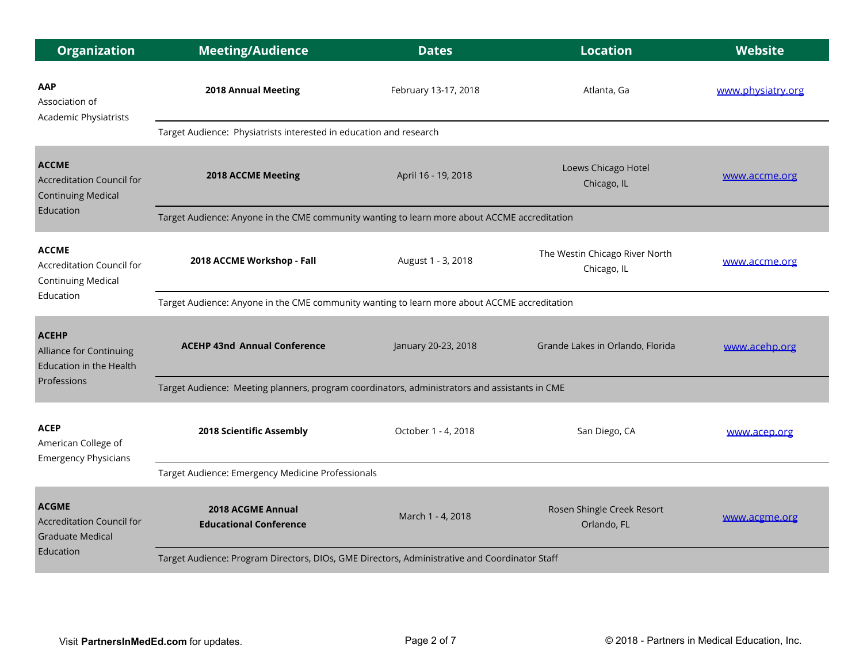| <b>Organization</b>                                                               | <b>Meeting/Audience</b>                                                                       | <b>Dates</b>         | <b>Location</b>                               | <b>Website</b>    |  |
|-----------------------------------------------------------------------------------|-----------------------------------------------------------------------------------------------|----------------------|-----------------------------------------------|-------------------|--|
| AAP<br>Association of<br><b>Academic Physiatrists</b>                             | 2018 Annual Meeting                                                                           | February 13-17, 2018 | Atlanta, Ga                                   | www.physiatry.org |  |
|                                                                                   | Target Audience: Physiatrists interested in education and research                            |                      |                                               |                   |  |
| <b>ACCME</b><br><b>Accreditation Council for</b><br><b>Continuing Medical</b>     | 2018 ACCME Meeting                                                                            | April 16 - 19, 2018  | Loews Chicago Hotel<br>Chicago, IL            | www.accme.org     |  |
| Education                                                                         | Target Audience: Anyone in the CME community wanting to learn more about ACCME accreditation  |                      |                                               |                   |  |
| <b>ACCME</b><br>Accreditation Council for<br><b>Continuing Medical</b>            | 2018 ACCME Workshop - Fall                                                                    | August 1 - 3, 2018   | The Westin Chicago River North<br>Chicago, IL | www.accme.org     |  |
| Education                                                                         | Target Audience: Anyone in the CME community wanting to learn more about ACCME accreditation  |                      |                                               |                   |  |
| <b>ACEHP</b><br>Alliance for Continuing<br>Education in the Health                | <b>ACEHP 43nd Annual Conference</b>                                                           | January 20-23, 2018  | Grande Lakes in Orlando, Florida              | www.acehp.org     |  |
| Professions                                                                       | Target Audience: Meeting planners, program coordinators, administrators and assistants in CME |                      |                                               |                   |  |
| <b>ACEP</b><br>American College of<br><b>Emergency Physicians</b>                 | 2018 Scientific Assembly                                                                      | October 1 - 4, 2018  | San Diego, CA                                 | www.acep.org      |  |
|                                                                                   | Target Audience: Emergency Medicine Professionals                                             |                      |                                               |                   |  |
| <b>ACGME</b><br>Accreditation Council for<br><b>Graduate Medical</b><br>Education | 2018 ACGME Annual<br><b>Educational Conference</b>                                            | March 1 - 4, 2018    | Rosen Shingle Creek Resort<br>Orlando, FL     | www.acgme.org     |  |
|                                                                                   | Target Audience: Program Directors, DIOs, GME Directors, Administrative and Coordinator Staff |                      |                                               |                   |  |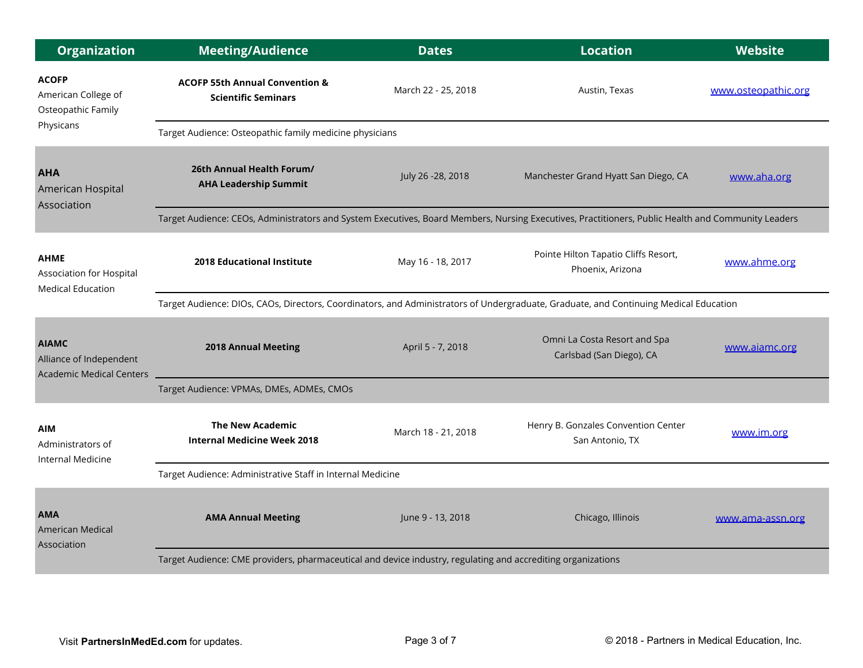| <b>Organization</b>                                                        | <b>Meeting/Audience</b>                                                                                                                            | <b>Dates</b>        | <b>Location</b>                                          | Website             |  |  |
|----------------------------------------------------------------------------|----------------------------------------------------------------------------------------------------------------------------------------------------|---------------------|----------------------------------------------------------|---------------------|--|--|
| <b>ACOFP</b><br>American College of<br>Osteopathic Family                  | <b>ACOFP 55th Annual Convention &amp;</b><br><b>Scientific Seminars</b>                                                                            | March 22 - 25, 2018 | Austin, Texas                                            | www.osteopathic.org |  |  |
| Physicans                                                                  | Target Audience: Osteopathic family medicine physicians                                                                                            |                     |                                                          |                     |  |  |
| <b>AHA</b><br>American Hospital<br>Association                             | 26th Annual Health Forum/<br><b>AHA Leadership Summit</b>                                                                                          | July 26 - 28, 2018  | Manchester Grand Hyatt San Diego, CA                     | www.aha.org         |  |  |
|                                                                            | Target Audience: CEOs, Administrators and System Executives, Board Members, Nursing Executives, Practitioners, Public Health and Community Leaders |                     |                                                          |                     |  |  |
| <b>AHME</b><br>Association for Hospital<br><b>Medical Education</b>        | <b>2018 Educational Institute</b>                                                                                                                  | May 16 - 18, 2017   | Pointe Hilton Tapatio Cliffs Resort,<br>Phoenix, Arizona | www.ahme.org        |  |  |
|                                                                            | Target Audience: DIOs, CAOs, Directors, Coordinators, and Administrators of Undergraduate, Graduate, and Continuing Medical Education              |                     |                                                          |                     |  |  |
| <b>AIAMC</b><br>Alliance of Independent<br><b>Academic Medical Centers</b> | <b>2018 Annual Meeting</b>                                                                                                                         | April 5 - 7, 2018   | Omni La Costa Resort and Spa<br>Carlsbad (San Diego), CA | www.aiamc.org       |  |  |
|                                                                            | Target Audience: VPMAs, DMEs, ADMEs, CMOs                                                                                                          |                     |                                                          |                     |  |  |
| <b>AIM</b><br>Administrators of<br>Internal Medicine                       | <b>The New Academic</b><br><b>Internal Medicine Week 2018</b>                                                                                      | March 18 - 21, 2018 | Henry B. Gonzales Convention Center<br>San Antonio, TX   | www.im.org          |  |  |
|                                                                            | Target Audience: Administrative Staff in Internal Medicine                                                                                         |                     |                                                          |                     |  |  |
| <b>AMA</b><br>American Medical<br>Association                              | <b>AMA Annual Meeting</b>                                                                                                                          | June 9 - 13, 2018   | Chicago, Illinois                                        | www.ama-assn.org    |  |  |
|                                                                            | Target Audience: CME providers, pharmaceutical and device industry, regulating and accrediting organizations                                       |                     |                                                          |                     |  |  |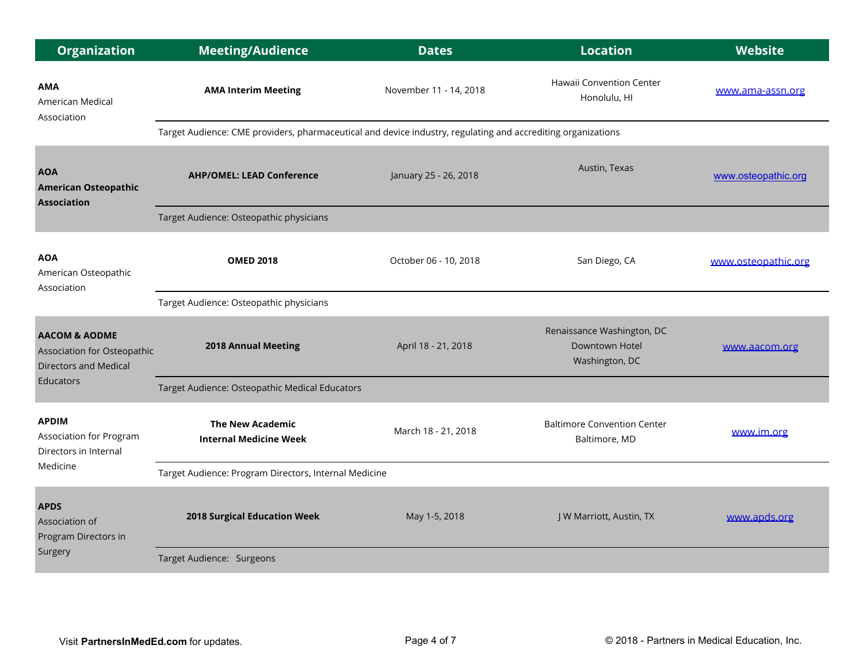| <b>Organization</b>                                                                     | <b>Meeting/Audience</b>                                                                                      | <b>Dates</b>           | <b>Location</b>                                                | <b>Website</b>      |  |
|-----------------------------------------------------------------------------------------|--------------------------------------------------------------------------------------------------------------|------------------------|----------------------------------------------------------------|---------------------|--|
| <b>AMA</b><br>American Medical<br>Association                                           | <b>AMA Interim Meeting</b>                                                                                   | November 11 - 14, 2018 | Hawaii Convention Center<br>Honolulu, HI                       | www.ama-assn.org    |  |
|                                                                                         | Target Audience: CME providers, pharmaceutical and device industry, regulating and accrediting organizations |                        |                                                                |                     |  |
| <b>AOA</b><br><b>American Osteopathic</b><br><b>Association</b>                         | <b>AHP/OMEL: LEAD Conference</b>                                                                             | January 25 - 26, 2018  | Austin, Texas                                                  | www.osteopathic.org |  |
|                                                                                         | Target Audience: Osteopathic physicians                                                                      |                        |                                                                |                     |  |
| <b>AOA</b><br>American Osteopathic<br>Association                                       | <b>OMED 2018</b>                                                                                             | October 06 - 10, 2018  | San Diego, CA                                                  | www.osteopathic.org |  |
|                                                                                         | Target Audience: Osteopathic physicians                                                                      |                        |                                                                |                     |  |
| <b>AACOM &amp; AODME</b><br>Association for Osteopathic<br><b>Directors and Medical</b> | <b>2018 Annual Meeting</b>                                                                                   | April 18 - 21, 2018    | Renaissance Washington, DC<br>Downtown Hotel<br>Washington, DC | www.aacom.org       |  |
| Educators                                                                               | Target Audience: Osteopathic Medical Educators                                                               |                        |                                                                |                     |  |
| <b>APDIM</b><br><b>Association for Program</b><br>Directors in Internal<br>Medicine     | <b>The New Academic</b><br><b>Internal Medicine Week</b>                                                     | March 18 - 21, 2018    | <b>Baltimore Convention Center</b><br>Baltimore, MD            | www.im.org          |  |
|                                                                                         | Target Audience: Program Directors, Internal Medicine                                                        |                        |                                                                |                     |  |
| <b>APDS</b><br>Association of<br>Program Directors in<br>Surgery                        | 2018 Surgical Education Week                                                                                 | May 1-5, 2018          | J W Marriott, Austin, TX                                       | www.apds.org        |  |
|                                                                                         | Target Audience: Surgeons                                                                                    |                        |                                                                |                     |  |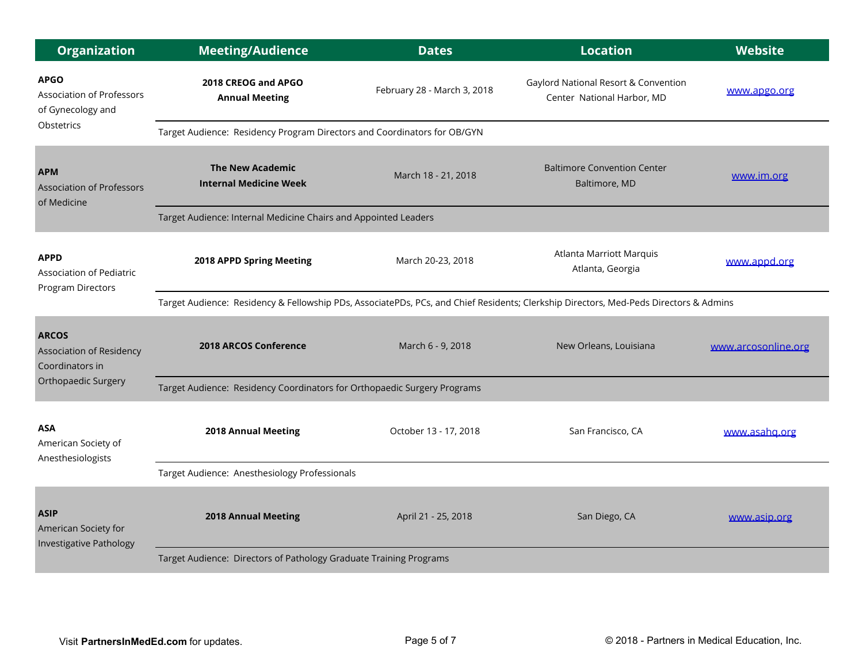| <b>Organization</b>                                                  | <b>Meeting/Audience</b>                                                                                                               | <b>Dates</b>                | <b>Location</b>                                                    | Website             |  |
|----------------------------------------------------------------------|---------------------------------------------------------------------------------------------------------------------------------------|-----------------------------|--------------------------------------------------------------------|---------------------|--|
| <b>APGO</b><br><b>Association of Professors</b><br>of Gynecology and | 2018 CREOG and APGO<br><b>Annual Meeting</b>                                                                                          | February 28 - March 3, 2018 | Gaylord National Resort & Convention<br>Center National Harbor, MD | www.apgo.org        |  |
| <b>Obstetrics</b>                                                    | Target Audience: Residency Program Directors and Coordinators for OB/GYN                                                              |                             |                                                                    |                     |  |
| <b>APM</b><br><b>Association of Professors</b><br>of Medicine        | <b>The New Academic</b><br><b>Internal Medicine Week</b>                                                                              | March 18 - 21, 2018         | <b>Baltimore Convention Center</b><br>Baltimore, MD                | www.im.org          |  |
|                                                                      | Target Audience: Internal Medicine Chairs and Appointed Leaders                                                                       |                             |                                                                    |                     |  |
| <b>APPD</b><br><b>Association of Pediatric</b><br>Program Directors  | 2018 APPD Spring Meeting                                                                                                              | March 20-23, 2018           | Atlanta Marriott Marquis<br>Atlanta, Georgia                       | www.appd.org        |  |
|                                                                      | Target Audience: Residency & Fellowship PDs, AssociatePDs, PCs, and Chief Residents; Clerkship Directors, Med-Peds Directors & Admins |                             |                                                                    |                     |  |
| <b>ARCOS</b><br><b>Association of Residency</b><br>Coordinators in   | <b>2018 ARCOS Conference</b>                                                                                                          | March 6 - 9, 2018           | New Orleans, Louisiana                                             | www.arcosonline.org |  |
| <b>Orthopaedic Surgery</b>                                           | Target Audience: Residency Coordinators for Orthopaedic Surgery Programs                                                              |                             |                                                                    |                     |  |
| <b>ASA</b><br>American Society of<br>Anesthesiologists               | <b>2018 Annual Meeting</b>                                                                                                            | October 13 - 17, 2018       | San Francisco, CA                                                  | www.asahg.org       |  |
|                                                                      | Target Audience: Anesthesiology Professionals                                                                                         |                             |                                                                    |                     |  |
| <b>ASIP</b><br>American Society for<br>Investigative Pathology       | <b>2018 Annual Meeting</b>                                                                                                            | April 21 - 25, 2018         | San Diego, CA                                                      | www.asip.org        |  |
|                                                                      | Target Audience: Directors of Pathology Graduate Training Programs                                                                    |                             |                                                                    |                     |  |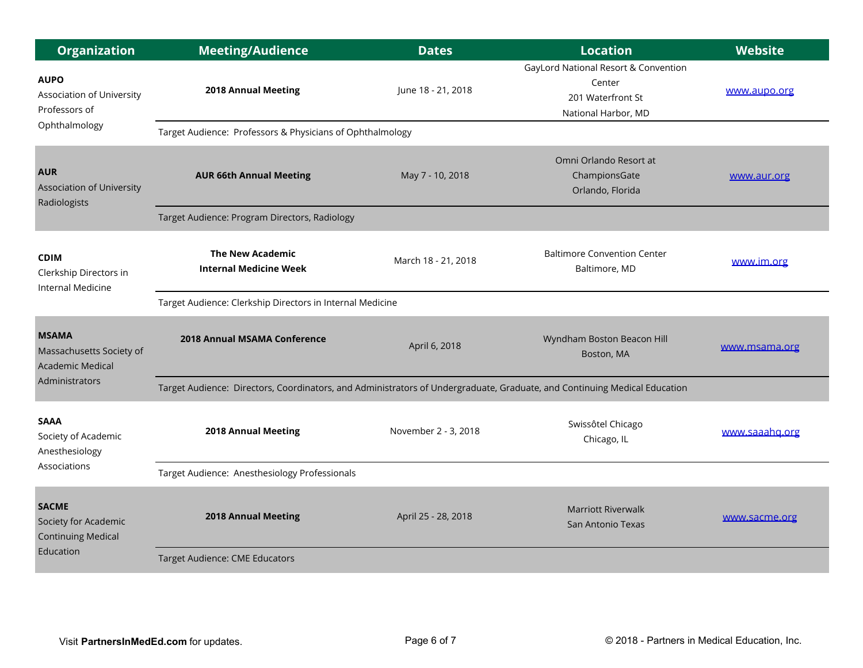| <b>Organization</b>                                                            | <b>Meeting/Audience</b>                                                                                                   | <b>Dates</b>         | <b>Location</b>                                                                            | <b>Website</b> |  |
|--------------------------------------------------------------------------------|---------------------------------------------------------------------------------------------------------------------------|----------------------|--------------------------------------------------------------------------------------------|----------------|--|
| <b>AUPO</b><br>Association of University<br>Professors of                      | 2018 Annual Meeting                                                                                                       | June 18 - 21, 2018   | GayLord National Resort & Convention<br>Center<br>201 Waterfront St<br>National Harbor, MD | www.aupo.org   |  |
| Ophthalmology                                                                  | Target Audience: Professors & Physicians of Ophthalmology                                                                 |                      |                                                                                            |                |  |
| <b>AUR</b><br><b>Association of University</b><br>Radiologists                 | <b>AUR 66th Annual Meeting</b>                                                                                            | May 7 - 10, 2018     | Omni Orlando Resort at<br>ChampionsGate<br>Orlando, Florida                                | www.aur.org    |  |
|                                                                                | Target Audience: Program Directors, Radiology                                                                             |                      |                                                                                            |                |  |
| <b>CDIM</b><br>Clerkship Directors in<br>Internal Medicine                     | <b>The New Academic</b><br><b>Internal Medicine Week</b>                                                                  | March 18 - 21, 2018  | <b>Baltimore Convention Center</b><br>Baltimore, MD                                        | www.im.org     |  |
|                                                                                | Target Audience: Clerkship Directors in Internal Medicine                                                                 |                      |                                                                                            |                |  |
| <b>MSAMA</b><br>Massachusetts Society of<br><b>Academic Medical</b>            | <b>2018 Annual MSAMA Conference</b>                                                                                       | April 6, 2018        | Wyndham Boston Beacon Hill<br>Boston, MA                                                   | www.msama.org  |  |
| Administrators                                                                 | Target Audience: Directors, Coordinators, and Administrators of Undergraduate, Graduate, and Continuing Medical Education |                      |                                                                                            |                |  |
| <b>SAAA</b><br>Society of Academic<br>Anesthesiology<br>Associations           | 2018 Annual Meeting                                                                                                       | November 2 - 3, 2018 | Swissôtel Chicago<br>Chicago, IL                                                           | www.saaahg.org |  |
|                                                                                | Target Audience: Anesthesiology Professionals                                                                             |                      |                                                                                            |                |  |
| <b>SACME</b><br>Society for Academic<br><b>Continuing Medical</b><br>Education | <b>2018 Annual Meeting</b>                                                                                                | April 25 - 28, 2018  | <b>Marriott Riverwalk</b><br>San Antonio Texas                                             | www.sacme.org  |  |
|                                                                                | Target Audience: CME Educators                                                                                            |                      |                                                                                            |                |  |